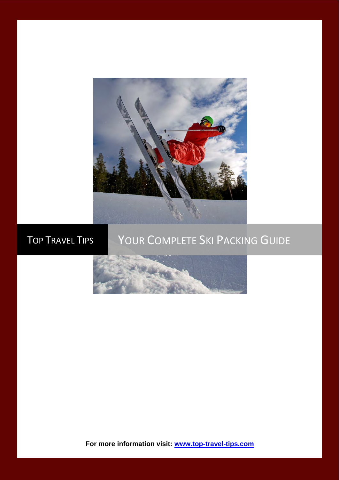

# TOP TRAVEL TIPS YOUR COMPLETE SKI PACKING GUIDE



**For more information visit: [www.top-travel-tips.com](http://www.top-travel-tips.com/index.html)**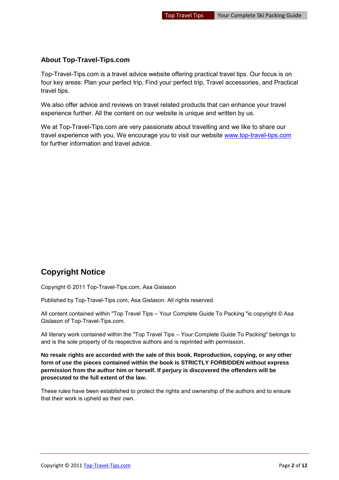#### **About Top-Travel-Tips.com**

Top-Travel-Tips.com is a travel advice website offering practical travel tips. Our focus is on four key areas: Plan your perfect trip, Find your perfect trip, Travel accessories, and Practical travel tips.

We also offer advice and reviews on travel related products that can enhance your travel experience further. All the content on our website is unique and written by us.

We at Top-Travel-Tips.com are very passionate about travelling and we like to share our travel experience with you. We encourage you to visit our website [www.top-travel-tips.com](http://www.top-travel-tips.com/index.html) for further information and travel advice.

### **Copyright Notice**

Copyright © 2011 Top-Travel-Tips.com, Asa Gislason

Published by Top-Travel-Tips.com, Asa Gislason. All rights reserved.

All content contained within "Top Travel Tips – Your Complete Guide To Packing "is copyright © Asa Gislason of Top-Travel-Tips.com.

All literary work contained within the "Top Travel Tips – Your Complete Guide To Packing" belongs to and is the sole property of its respective authors and is reprinted with permission.

**No resale rights are accorded with the sale of this book. Reproduction, copying, or any other form of use the pieces contained within the book is STRICTLY FORBIDDEN without express permission from the author him or herself. If perjury is discovered the offenders will be prosecuted to the full extent of the law.** 

These rules have been established to protect the rights and ownership of the authors and to ensure that their work is upheld as their own.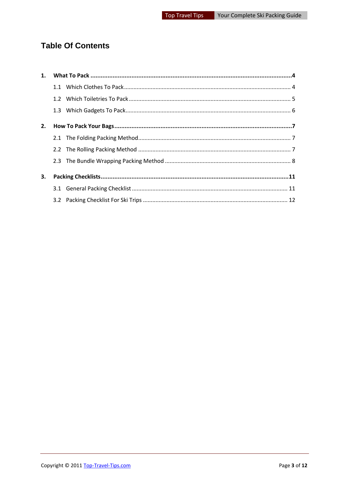### **Table Of Contents**

| 1. |  |
|----|--|
|    |  |
|    |  |
|    |  |
| 2. |  |
|    |  |
|    |  |
|    |  |
| 3. |  |
|    |  |
|    |  |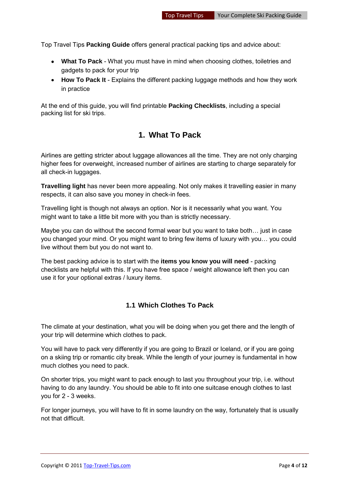Top Travel Tips **Packing Guide** offers general practical packing tips and advice about:

- **What To Pack** What you must have in mind when choosing clothes, toiletries and gadgets to pack for your trip
- **How To Pack It** Explains the different packing luggage methods and how they work in practice

<span id="page-3-0"></span>At the end of this guide, you will find printable **Packing Checklists**, including a special packing list for ski trips.

### **1. What To Pack**

Airlines are getting stricter about luggage allowances all the time. They are not only charging higher fees for overweight, increased number of airlines are starting to charge separately for all check-in luggages.

**Travelling light** has never been more appealing. Not only makes it travelling easier in many respects, it can also save you money in check-in fees.

Travelling light is though not always an option. Nor is it necessarily what you want. You might want to take a little bit more with you than is strictly necessary.

Maybe you can do without the second formal wear but you want to take both… just in case you changed your mind. Or you might want to bring few items of luxury with you… you could live without them but you do not want to.

The best packing advice is to start with the **items you know you will need** - packing checklists are helpful with this. If you have free space / weight allowance left then you can use it for your optional extras / luxury items.

#### <span id="page-3-1"></span>**1.1 Which Clothes To Pack**

The climate at your destination, what you will be doing when you get there and the length of your trip will determine which clothes to pack.

You will have to pack very differently if you are going to Brazil or Iceland, or if you are going on a skiing trip or romantic city break. While the length of your journey is fundamental in how much clothes you need to pack.

On shorter trips, you might want to pack enough to last you throughout your trip, i.e. without having to do any laundry. You should be able to fit into one suitcase enough clothes to last you for 2 - 3 weeks.

For longer journeys, you will have to fit in some laundry on the way, fortunately that is usually not that difficult.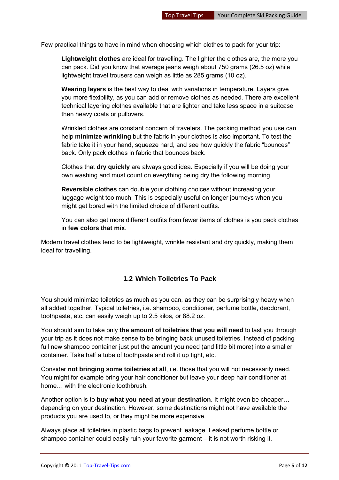Few practical things to have in mind when choosing which clothes to pack for your trip:

**Lightweight clothes** are ideal for travelling. The lighter the clothes are, the more you can pack. Did you know that average jeans weigh about 750 grams (26.5 oz) while lightweight travel trousers can weigh as little as 285 grams (10 oz).

**Wearing layers** is the best way to deal with variations in temperature. Layers give you more flexibility, as you can add or remove clothes as needed. There are excellent technical layering clothes available that are lighter and take less space in a suitcase then heavy coats or pullovers.

Wrinkled clothes are constant concern of travelers. The packing method you use can help **minimize wrinkling** but the fabric in your clothes is also important. To test the fabric take it in your hand, squeeze hard, and see how quickly the fabric "bounces" back. Only pack clothes in fabric that bounces back.

Clothes that **dry quickly** are always good idea. Especially if you will be doing your own washing and must count on everything being dry the following morning.

**Reversible clothes** can double your clothing choices without increasing your luggage weight too much. This is especially useful on longer journeys when you might get bored with the limited choice of different outfits.

You can also get more different outfits from fewer items of clothes is you pack clothes in **few colors that mix**.

Modern travel clothes tend to be lightweight, wrinkle resistant and dry quickly, making them ideal for travelling.

#### <span id="page-4-0"></span>**1.2 Which Toiletries To Pack**

You should minimize toiletries as much as you can, as they can be surprisingly heavy when all added together. Typical toiletries, i.e. shampoo, conditioner, perfume bottle, deodorant, toothpaste, etc, can easily weigh up to 2.5 kilos, or 88.2 oz.

You should aim to take only **the amount of toiletries that you will need** to last you through your trip as it does not make sense to be bringing back unused toiletries. Instead of packing full new shampoo container just put the amount you need (and little bit more) into a smaller container. Take half a tube of toothpaste and roll it up tight, etc.

Consider **not bringing some toiletries at all**, i.e. those that you will not necessarily need. You might for example bring your hair conditioner but leave your deep hair conditioner at home… with the electronic toothbrush.

Another option is to **buy what you need at your destination**. It might even be cheaper… depending on your destination. However, some destinations might not have available the products you are used to, or they might be more expensive.

Always place all toiletries in plastic bags to prevent leakage. Leaked perfume bottle or shampoo container could easily ruin your favorite garment – it is not worth risking it.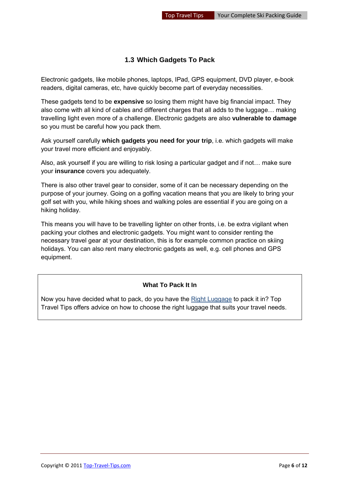#### <span id="page-5-0"></span>**1.3 Which Gadgets To Pack**

Electronic gadgets, like mobile phones, laptops, IPad, GPS equipment, DVD player, e-book readers, digital cameras, etc, have quickly become part of everyday necessities.

These gadgets tend to be **expensive** so losing them might have big financial impact. They also come with all kind of cables and different charges that all adds to the luggage… making travelling light even more of a challenge. Electronic gadgets are also **vulnerable to damage** so you must be careful how you pack them.

Ask yourself carefully **which gadgets you need for your trip**, i.e. which gadgets will make your travel more efficient and enjoyably.

Also, ask yourself if you are willing to risk losing a particular gadget and if not… make sure your **insurance** covers you adequately.

There is also other travel gear to consider, some of it can be necessary depending on the purpose of your journey. Going on a golfing vacation means that you are likely to bring your golf set with you, while hiking shoes and walking poles are essential if you are going on a hiking holiday.

This means you will have to be travelling lighter on other fronts, i.e. be extra vigilant when packing your clothes and electronic gadgets. You might want to consider renting the necessary travel gear at your destination, this is for example common practice on skiing holidays. You can also rent many electronic gadgets as well, e.g. cell phones and GPS equipment.

#### **What To Pack It In**

Now you have decided what to pack, do you have the [Right Luggage](http://www.top-travel-tips.com/international-traveler-luggage.html) to pack it in? Top Travel Tips offers advice on how to choose the right luggage that suits your travel needs.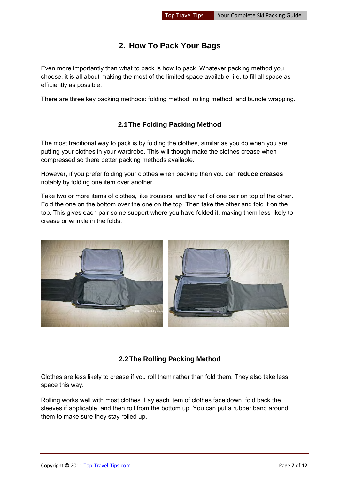### **2. How To Pack Your Bags**

<span id="page-6-0"></span>Even more importantly than what to pack is how to pack. Whatever packing method you choose, it is all about making the most of the limited space available, i.e. to fill all space as efficiently as possible.

There are three key packing methods: folding method, rolling method, and bundle wrapping.

#### **2.1 The Folding Packing Method**

<span id="page-6-1"></span>The most traditional way to pack is by folding the clothes, similar as you do when you are putting your clothes in your wardrobe. This will though make the clothes crease when compressed so there better packing methods available.

However, if you prefer folding your clothes when packing then you can **reduce creases** notably by folding one item over another.

Take two or more items of clothes, like trousers, and lay half of one pair on top of the other. Fold the one on the bottom over the one on the top. Then take the other and fold it on the top. This gives each pair some support where you have folded it, making them less likely to crease or wrinkle in the folds.



#### **2.2 The Rolling Packing Method**

<span id="page-6-2"></span>Clothes are less likely to crease if you roll them rather than fold them. They also take less space this way.

Rolling works well with most clothes. Lay each item of clothes face down, fold back the sleeves if applicable, and then roll from the bottom up. You can put a rubber band around them to make sure they stay rolled up.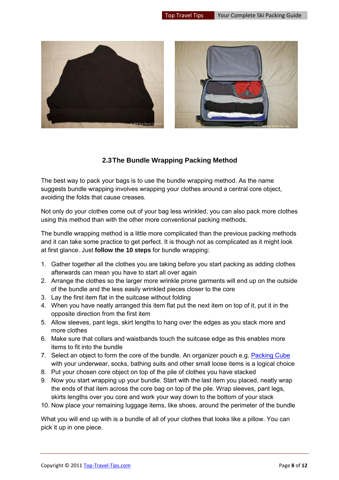

#### **2.3 The Bundle Wrapping Packing Method**

<span id="page-7-0"></span>The best way to pack your bags is to use the bundle wrapping method. As the name suggests bundle wrapping involves wrapping your clothes around a central core object, avoiding the folds that cause creases.

Not only do your clothes come out of your bag less wrinkled, you can also pack more clothes using this method than with the other more conventional packing methods.

The bundle wrapping method is a little more complicated than the previous packing methods and it can take some practice to get perfect. It is though not as complicated as it might look at first glance. Just **follow the 10 steps** for bundle wrapping:

- 1. Gather together all the clothes you are taking before you start packing as adding clothes afterwards can mean you have to start all over again
- 2. Arrange the clothes so the larger more wrinkle prone garments will end up on the outside of the bundle and the less easily wrinkled pieces closer to the core
- 3. Lay the first item flat in the suitcase without folding
- 4. When you have neatly arranged this item flat put the next item on top of it, put it in the opposite direction from the first item
- 5. Allow sleeves, pant legs, skirt lengths to hang over the edges as you stack more and more clothes
- 6. Make sure that collars and waistbands touch the suitcase edge as this enables more items to fit into the bundle
- 7. Select an object to form the core of the bundle. An organizer pouch e.g. [Packing Cube](http://www.top-travel-tips.com/packing-cubes.html) with your underwear, socks, bathing suits and other small loose items is a logical choice
- 8. Put your chosen core object on top of the pile of clothes you have stacked
- 9. Now you start wrapping up your bundle. Start with the last item you placed, neatly wrap the ends of that item across the core bag on top of the pile. Wrap sleeves, pant legs, skirts lengths over you core and work your way down to the bottom of your stack
- 10. Now place your remaining luggage items, like shoes, around the perimeter of the bundle

What you will end up with is a bundle of all of your clothes that looks like a pillow. You can pick it up in one piece.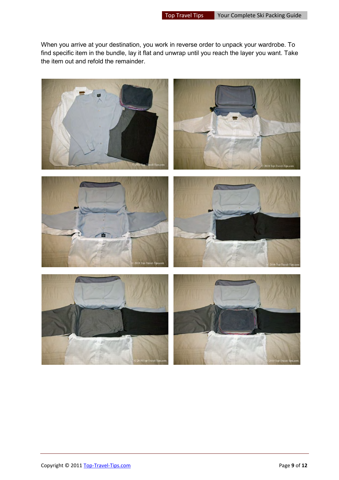When you arrive at your destination, you work in reverse order to unpack your wardrobe. To find specific item in the bundle, lay it flat and unwrap until you reach the layer you want. Take the item out and refold the remainder.

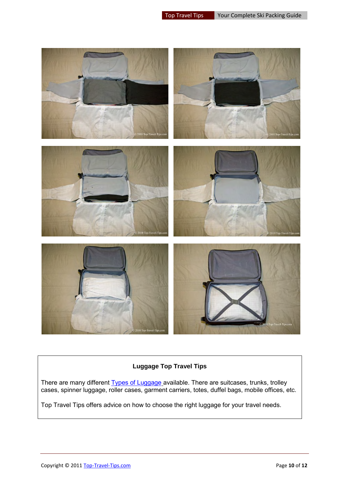

#### **Luggage Top Travel Tips**

There are many different [Types of Luggage](http://www.top-travel-tips.com/cabin-luggage.html) available. There are suitcases, trunks, trolley cases, spinner luggage, roller cases, garment carriers, totes, duffel bags, mobile offices, etc.

Top Travel Tips offers advice on how to choose the right luggage for your travel needs.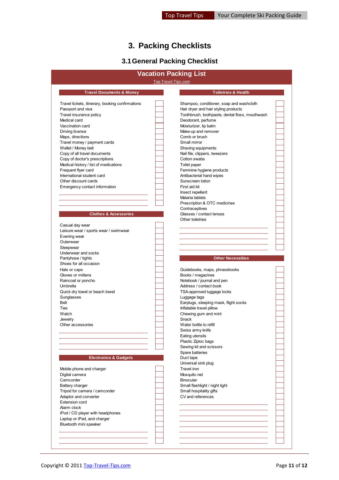### **3. Packing Checklists**

## **3.1 General Packing Checklist**

<span id="page-10-1"></span><span id="page-10-0"></span>

|                                                                                                  |                     | <b>Vacation Packing List</b>                                                                                                        |  |
|--------------------------------------------------------------------------------------------------|---------------------|-------------------------------------------------------------------------------------------------------------------------------------|--|
|                                                                                                  | Top-Travel-Tips.com |                                                                                                                                     |  |
| <b>Travel Documents &amp; Money</b>                                                              |                     | <b>Toiletries &amp; Health</b>                                                                                                      |  |
| Travel tickets, itinerary, booking confirmations<br>Passport and visa<br>Travel insurance policy |                     | Shampoo, conditioner, soap and washcloth<br>Hair dryer and hair styling products<br>Toothbrush, toothpaste, dental floss, mouthwash |  |
| Medical card<br>Vaccination card                                                                 |                     | Deodorant, perfume<br>Moisturizer, lip balm                                                                                         |  |
| Driving license<br>Maps, directions                                                              |                     | Make-up and remover<br>Comb or brush                                                                                                |  |
| Travel money / payment cards<br>Wallet / Money belt                                              |                     | Small mirror<br>Shaving equipments                                                                                                  |  |
| Copy of all travel documents<br>Copy of doctor's prescriptions                                   |                     | Nail file, clippers, tweezers<br>Cotton swabs                                                                                       |  |
| Medical history / list of medications<br>Frequent flyer card                                     |                     | Toilet paper<br>Feminine hygiene products                                                                                           |  |
| International student card<br>Other discount cards                                               |                     | Antibacterial hand wipes<br>Sunscreen lotion                                                                                        |  |
| Emergency contact information                                                                    |                     | First aid kit                                                                                                                       |  |
|                                                                                                  |                     | Insect repellent<br>Malaria tablets<br>Prescription & OTC medicines                                                                 |  |
| <b>Clothes &amp; Accessories</b>                                                                 |                     | Contraceptives<br>Glasses / contact lenses<br>Other toiletries                                                                      |  |
| Casual day wear<br>Leisure wear / sports wear / swimwear                                         |                     |                                                                                                                                     |  |
| Evening wear<br>Outerwear                                                                        |                     |                                                                                                                                     |  |
| Sleepwear<br>Underwear and socks                                                                 |                     |                                                                                                                                     |  |
| Pantyhose / tights<br>Shoes for all occasion                                                     |                     | <b>Other Necessities</b>                                                                                                            |  |
| Hats or caps<br>Gloves or mittens                                                                |                     | Guidebooks, maps, phrasebooks<br>Books / magazines                                                                                  |  |
| Raincoat or poncho<br>Umbrella                                                                   |                     | Notebook / journal and pen<br>Address / contact book                                                                                |  |
| Quick dry towel or beach towel<br>Sunglasses                                                     |                     | TSA-approved luggage locks<br>Luggage tags                                                                                          |  |
| Belt<br>Ties                                                                                     |                     | Earplugs, sleeping mask, flight socks<br>Inflatable travel pillow                                                                   |  |
| Watch<br>Jewelry                                                                                 |                     | Chewing gum and mint<br>Snack                                                                                                       |  |
| Other accessories                                                                                |                     | Water bottle to refill<br>Swiss army knife                                                                                          |  |
|                                                                                                  |                     | Eating utensils                                                                                                                     |  |
|                                                                                                  |                     | Plastic Ziploc bags<br>Sewing kit and scissors                                                                                      |  |
| <b>Electronics &amp; Gadgets</b>                                                                 |                     | Spare batteries<br>Duct tape                                                                                                        |  |
| Mobile phone and charger                                                                         |                     | Universal sink plug<br>Travel iron                                                                                                  |  |
| Digital camera<br>Camcorder                                                                      |                     | Mosquito net<br><b>Binocular</b>                                                                                                    |  |
| <b>Battery charger</b><br>Tripod for camera / camcorder                                          |                     | Small flashlight / night light<br>Small hospitality gifts                                                                           |  |
| Adaptor and converter<br><b>Extension cord</b>                                                   |                     | CV and references                                                                                                                   |  |
| Alarm clock<br>iPod / CD player with headphones                                                  |                     |                                                                                                                                     |  |
| Laptop or iPad, and charger<br>Bluetooth mini speaker                                            |                     |                                                                                                                                     |  |
|                                                                                                  |                     |                                                                                                                                     |  |
|                                                                                                  |                     |                                                                                                                                     |  |